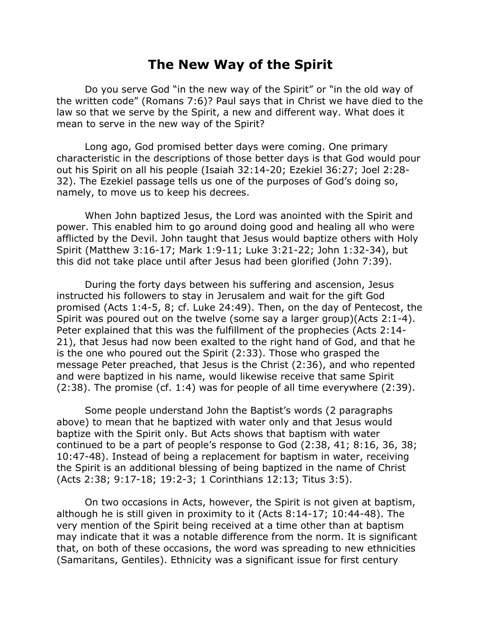## **The New Way of the Spirit**

Do you serve God "in the new way of the Spirit" or "in the old way of the written code" (Romans 7:6)? Paul says that in Christ we have died to the law so that we serve by the Spirit, a new and different way. What does it mean to serve in the new way of the Spirit?

Long ago, God promised better days were coming. One primary characteristic in the descriptions of those better days is that God would pour out his Spirit on all his people (Isaiah 32:14-20; Ezekiel 36:27; Joel 2:28- 32). The Ezekiel passage tells us one of the purposes of God's doing so, namely, to move us to keep his decrees.

When John baptized Jesus, the Lord was anointed with the Spirit and power. This enabled him to go around doing good and healing all who were afflicted by the Devil. John taught that Jesus would baptize others with Holy Spirit (Matthew 3:16-17; Mark 1:9-11; Luke 3:21-22; John 1:32-34), but this did not take place until after Jesus had been glorified (John 7:39).

During the forty days between his suffering and ascension, Jesus instructed his followers to stay in Jerusalem and wait for the gift God promised (Acts 1:4-5, 8; cf. Luke 24:49). Then, on the day of Pentecost, the Spirit was poured out on the twelve (some say a larger group)(Acts 2:1-4). Peter explained that this was the fulfillment of the prophecies (Acts 2:14- 21), that Jesus had now been exalted to the right hand of God, and that he is the one who poured out the Spirit (2:33). Those who grasped the message Peter preached, that Jesus is the Christ (2:36), and who repented and were baptized in his name, would likewise receive that same Spirit (2:38). The promise (cf. 1:4) was for people of all time everywhere (2:39).

Some people understand John the Baptist's words (2 paragraphs above) to mean that he baptized with water only and that Jesus would baptize with the Spirit only. But Acts shows that baptism with water continued to be a part of people's response to God (2:38, 41; 8:16, 36, 38; 10:47-48). Instead of being a replacement for baptism in water, receiving the Spirit is an additional blessing of being baptized in the name of Christ (Acts 2:38; 9:17-18; 19:2-3; 1 Corinthians 12:13; Titus 3:5).

On two occasions in Acts, however, the Spirit is not given at baptism, although he is still given in proximity to it (Acts 8:14-17; 10:44-48). The very mention of the Spirit being received at a time other than at baptism may indicate that it was a notable difference from the norm. It is significant that, on both of these occasions, the word was spreading to new ethnicities (Samaritans, Gentiles). Ethnicity was a significant issue for first century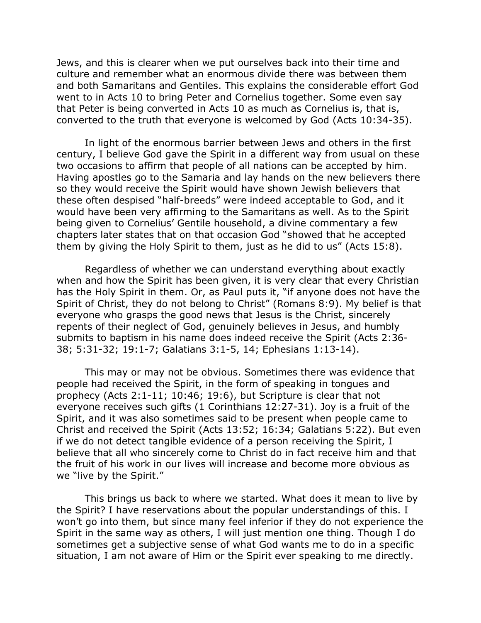Jews, and this is clearer when we put ourselves back into their time and culture and remember what an enormous divide there was between them and both Samaritans and Gentiles. This explains the considerable effort God went to in Acts 10 to bring Peter and Cornelius together. Some even say that Peter is being converted in Acts 10 as much as Cornelius is, that is, converted to the truth that everyone is welcomed by God (Acts 10:34-35).

In light of the enormous barrier between Jews and others in the first century, I believe God gave the Spirit in a different way from usual on these two occasions to affirm that people of all nations can be accepted by him. Having apostles go to the Samaria and lay hands on the new believers there so they would receive the Spirit would have shown Jewish believers that these often despised "half-breeds" were indeed acceptable to God, and it would have been very affirming to the Samaritans as well. As to the Spirit being given to Cornelius' Gentile household, a divine commentary a few chapters later states that on that occasion God "showed that he accepted them by giving the Holy Spirit to them, just as he did to us" (Acts 15:8).

Regardless of whether we can understand everything about exactly when and how the Spirit has been given, it is very clear that every Christian has the Holy Spirit in them. Or, as Paul puts it, "if anyone does not have the Spirit of Christ, they do not belong to Christ" (Romans 8:9). My belief is that everyone who grasps the good news that Jesus is the Christ, sincerely repents of their neglect of God, genuinely believes in Jesus, and humbly submits to baptism in his name does indeed receive the Spirit (Acts 2:36- 38; 5:31-32; 19:1-7; Galatians 3:1-5, 14; Ephesians 1:13-14).

This may or may not be obvious. Sometimes there was evidence that people had received the Spirit, in the form of speaking in tongues and prophecy (Acts 2:1-11; 10:46; 19:6), but Scripture is clear that not everyone receives such gifts (1 Corinthians 12:27-31). Joy is a fruit of the Spirit, and it was also sometimes said to be present when people came to Christ and received the Spirit (Acts 13:52; 16:34; Galatians 5:22). But even if we do not detect tangible evidence of a person receiving the Spirit, I believe that all who sincerely come to Christ do in fact receive him and that the fruit of his work in our lives will increase and become more obvious as we "live by the Spirit."

This brings us back to where we started. What does it mean to live by the Spirit? I have reservations about the popular understandings of this. I won't go into them, but since many feel inferior if they do not experience the Spirit in the same way as others, I will just mention one thing. Though I do sometimes get a subjective sense of what God wants me to do in a specific situation, I am not aware of Him or the Spirit ever speaking to me directly.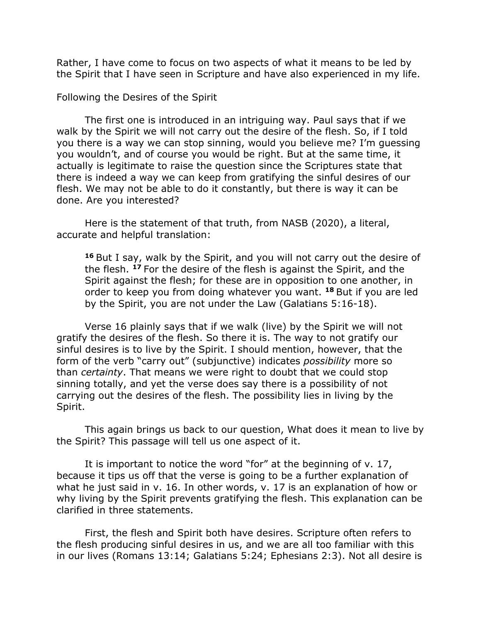Rather, I have come to focus on two aspects of what it means to be led by the Spirit that I have seen in Scripture and have also experienced in my life.

Following the Desires of the Spirit

The first one is introduced in an intriguing way. Paul says that if we walk by the Spirit we will not carry out the desire of the flesh. So, if I told you there is a way we can stop sinning, would you believe me? I'm guessing you wouldn't, and of course you would be right. But at the same time, it actually is legitimate to raise the question since the Scriptures state that there is indeed a way we can keep from gratifying the sinful desires of our flesh. We may not be able to do it constantly, but there is way it can be done. Are you interested?

Here is the statement of that truth, from NASB (2020), a literal, accurate and helpful translation:

**<sup>16</sup>** But I say, walk by the Spirit, and you will not carry out the desire of the flesh. **<sup>17</sup>** For the desire of the flesh is against the Spirit, and the Spirit against the flesh; for these are in opposition to one another, in order to keep you from doing whatever you want. **<sup>18</sup>** But if you are led by the Spirit, you are not under the Law (Galatians 5:16-18).

Verse 16 plainly says that if we walk (live) by the Spirit we will not gratify the desires of the flesh. So there it is. The way to not gratify our sinful desires is to live by the Spirit. I should mention, however, that the form of the verb "carry out" (subjunctive) indicates *possibility* more so than *certainty*. That means we were right to doubt that we could stop sinning totally, and yet the verse does say there is a possibility of not carrying out the desires of the flesh. The possibility lies in living by the Spirit.

This again brings us back to our question, What does it mean to live by the Spirit? This passage will tell us one aspect of it.

It is important to notice the word "for" at the beginning of v. 17, because it tips us off that the verse is going to be a further explanation of what he just said in v. 16. In other words, v. 17 is an explanation of how or why living by the Spirit prevents gratifying the flesh. This explanation can be clarified in three statements.

First, the flesh and Spirit both have desires. Scripture often refers to the flesh producing sinful desires in us, and we are all too familiar with this in our lives (Romans 13:14; Galatians 5:24; Ephesians 2:3). Not all desire is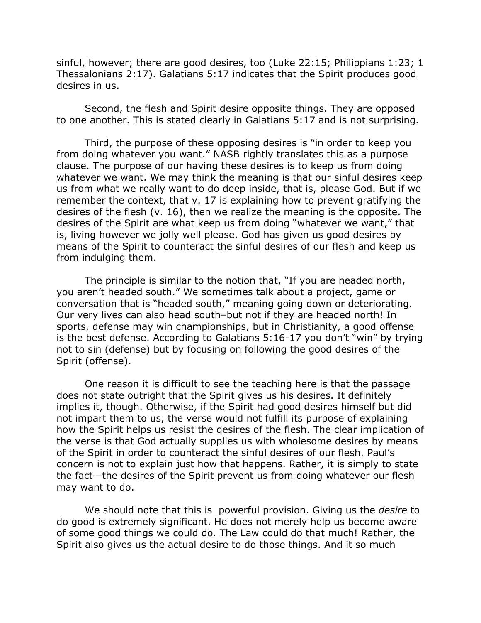sinful, however; there are good desires, too (Luke 22:15; Philippians 1:23; 1 Thessalonians 2:17). Galatians 5:17 indicates that the Spirit produces good desires in us.

Second, the flesh and Spirit desire opposite things. They are opposed to one another. This is stated clearly in Galatians 5:17 and is not surprising.

Third, the purpose of these opposing desires is "in order to keep you from doing whatever you want." NASB rightly translates this as a purpose clause. The purpose of our having these desires is to keep us from doing whatever we want. We may think the meaning is that our sinful desires keep us from what we really want to do deep inside, that is, please God. But if we remember the context, that v. 17 is explaining how to prevent gratifying the desires of the flesh (v. 16), then we realize the meaning is the opposite. The desires of the Spirit are what keep us from doing "whatever we want," that is, living however we jolly well please. God has given us good desires by means of the Spirit to counteract the sinful desires of our flesh and keep us from indulging them.

The principle is similar to the notion that, "If you are headed north, you aren't headed south." We sometimes talk about a project, game or conversation that is "headed south," meaning going down or deteriorating. Our very lives can also head south–but not if they are headed north! In sports, defense may win championships, but in Christianity, a good offense is the best defense. According to Galatians 5:16-17 you don't "win" by trying not to sin (defense) but by focusing on following the good desires of the Spirit (offense).

One reason it is difficult to see the teaching here is that the passage does not state outright that the Spirit gives us his desires. It definitely implies it, though. Otherwise, if the Spirit had good desires himself but did not impart them to us, the verse would not fulfill its purpose of explaining how the Spirit helps us resist the desires of the flesh. The clear implication of the verse is that God actually supplies us with wholesome desires by means of the Spirit in order to counteract the sinful desires of our flesh. Paul's concern is not to explain just how that happens. Rather, it is simply to state the fact—the desires of the Spirit prevent us from doing whatever our flesh may want to do.

We should note that this is powerful provision. Giving us the *desire* to do good is extremely significant. He does not merely help us become aware of some good things we could do. The Law could do that much! Rather, the Spirit also gives us the actual desire to do those things. And it so much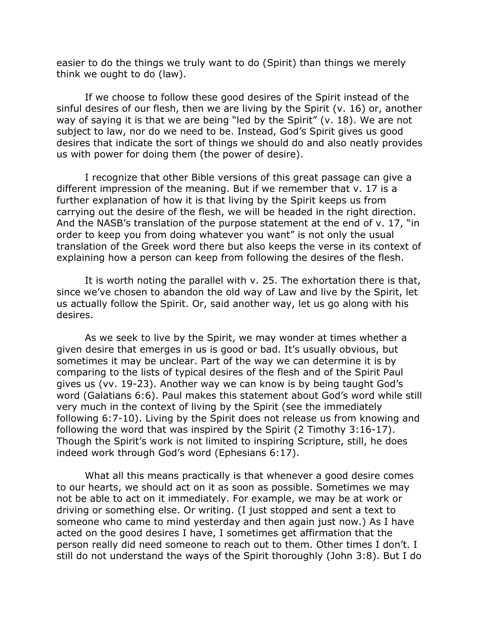easier to do the things we truly want to do (Spirit) than things we merely think we ought to do (law).

If we choose to follow these good desires of the Spirit instead of the sinful desires of our flesh, then we are living by the Spirit (v. 16) or, another way of saying it is that we are being "led by the Spirit" (v. 18). We are not subject to law, nor do we need to be. Instead, God's Spirit gives us good desires that indicate the sort of things we should do and also neatly provides us with power for doing them (the power of desire).

I recognize that other Bible versions of this great passage can give a different impression of the meaning. But if we remember that v. 17 is a further explanation of how it is that living by the Spirit keeps us from carrying out the desire of the flesh, we will be headed in the right direction. And the NASB's translation of the purpose statement at the end of v. 17, "in order to keep you from doing whatever you want" is not only the usual translation of the Greek word there but also keeps the verse in its context of explaining how a person can keep from following the desires of the flesh.

It is worth noting the parallel with v. 25. The exhortation there is that, since we've chosen to abandon the old way of Law and live by the Spirit, let us actually follow the Spirit. Or, said another way, let us go along with his desires.

As we seek to live by the Spirit, we may wonder at times whether a given desire that emerges in us is good or bad. It's usually obvious, but sometimes it may be unclear. Part of the way we can determine it is by comparing to the lists of typical desires of the flesh and of the Spirit Paul gives us (vv. 19-23). Another way we can know is by being taught God's word (Galatians 6:6). Paul makes this statement about God's word while still very much in the context of living by the Spirit (see the immediately following 6:7-10). Living by the Spirit does not release us from knowing and following the word that was inspired by the Spirit (2 Timothy 3:16-17). Though the Spirit's work is not limited to inspiring Scripture, still, he does indeed work through God's word (Ephesians 6:17).

What all this means practically is that whenever a good desire comes to our hearts, we should act on it as soon as possible. Sometimes we may not be able to act on it immediately. For example, we may be at work or driving or something else. Or writing. (I just stopped and sent a text to someone who came to mind yesterday and then again just now.) As I have acted on the good desires I have, I sometimes get affirmation that the person really did need someone to reach out to them. Other times I don't. I still do not understand the ways of the Spirit thoroughly (John 3:8). But I do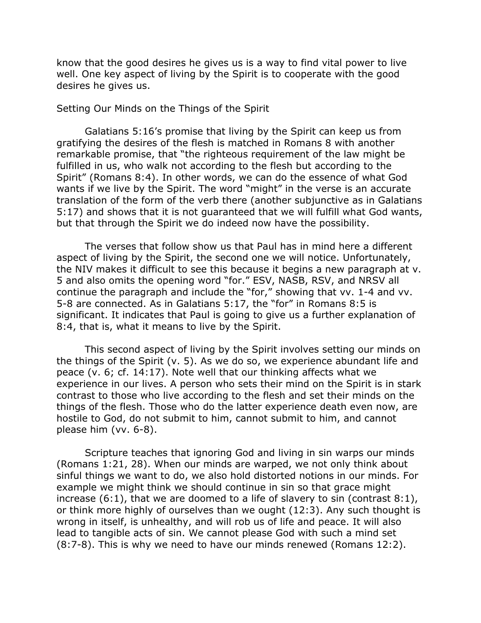know that the good desires he gives us is a way to find vital power to live well. One key aspect of living by the Spirit is to cooperate with the good desires he gives us.

## Setting Our Minds on the Things of the Spirit

Galatians 5:16's promise that living by the Spirit can keep us from gratifying the desires of the flesh is matched in Romans 8 with another remarkable promise, that "the righteous requirement of the law might be fulfilled in us, who walk not according to the flesh but according to the Spirit" (Romans 8:4). In other words, we can do the essence of what God wants if we live by the Spirit. The word "might" in the verse is an accurate translation of the form of the verb there (another subjunctive as in Galatians 5:17) and shows that it is not guaranteed that we will fulfill what God wants, but that through the Spirit we do indeed now have the possibility.

The verses that follow show us that Paul has in mind here a different aspect of living by the Spirit, the second one we will notice. Unfortunately, the NIV makes it difficult to see this because it begins a new paragraph at v. 5 and also omits the opening word "for." ESV, NASB, RSV, and NRSV all continue the paragraph and include the "for," showing that vv. 1-4 and vv. 5-8 are connected. As in Galatians 5:17, the "for" in Romans 8:5 is significant. It indicates that Paul is going to give us a further explanation of 8:4, that is, what it means to live by the Spirit.

This second aspect of living by the Spirit involves setting our minds on the things of the Spirit (v. 5). As we do so, we experience abundant life and peace (v. 6; cf. 14:17). Note well that our thinking affects what we experience in our lives. A person who sets their mind on the Spirit is in stark contrast to those who live according to the flesh and set their minds on the things of the flesh. Those who do the latter experience death even now, are hostile to God, do not submit to him, cannot submit to him, and cannot please him (vv. 6-8).

Scripture teaches that ignoring God and living in sin warps our minds (Romans 1:21, 28). When our minds are warped, we not only think about sinful things we want to do, we also hold distorted notions in our minds. For example we might think we should continue in sin so that grace might increase (6:1), that we are doomed to a life of slavery to sin (contrast 8:1), or think more highly of ourselves than we ought (12:3). Any such thought is wrong in itself, is unhealthy, and will rob us of life and peace. It will also lead to tangible acts of sin. We cannot please God with such a mind set (8:7-8). This is why we need to have our minds renewed (Romans 12:2).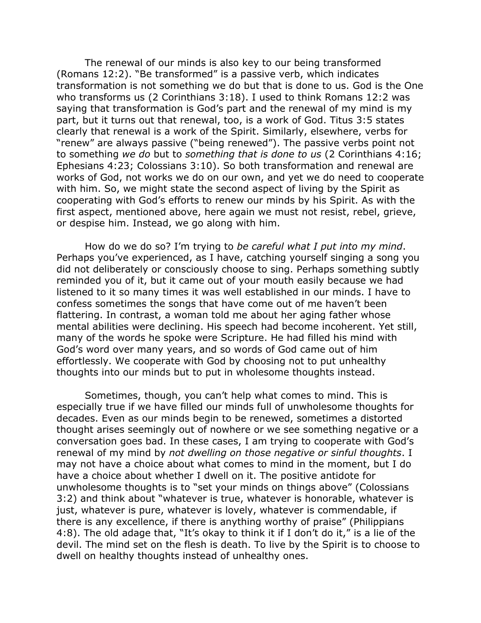The renewal of our minds is also key to our being transformed (Romans 12:2). "Be transformed" is a passive verb, which indicates transformation is not something we do but that is done to us. God is the One who transforms us (2 Corinthians 3:18). I used to think Romans 12:2 was saying that transformation is God's part and the renewal of my mind is my part, but it turns out that renewal, too, is a work of God. Titus 3:5 states clearly that renewal is a work of the Spirit. Similarly, elsewhere, verbs for "renew" are always passive ("being renewed"). The passive verbs point not to something *we do* but to *something that is done to us* (2 Corinthians 4:16; Ephesians 4:23; Colossians 3:10). So both transformation and renewal are works of God, not works we do on our own, and yet we do need to cooperate with him. So, we might state the second aspect of living by the Spirit as cooperating with God's efforts to renew our minds by his Spirit. As with the first aspect, mentioned above, here again we must not resist, rebel, grieve, or despise him. Instead, we go along with him.

How do we do so? I'm trying to *be careful what I put into my mind*. Perhaps you've experienced, as I have, catching yourself singing a song you did not deliberately or consciously choose to sing. Perhaps something subtly reminded you of it, but it came out of your mouth easily because we had listened to it so many times it was well established in our minds. I have to confess sometimes the songs that have come out of me haven't been flattering. In contrast, a woman told me about her aging father whose mental abilities were declining. His speech had become incoherent. Yet still, many of the words he spoke were Scripture. He had filled his mind with God's word over many years, and so words of God came out of him effortlessly. We cooperate with God by choosing not to put unhealthy thoughts into our minds but to put in wholesome thoughts instead.

Sometimes, though, you can't help what comes to mind. This is especially true if we have filled our minds full of unwholesome thoughts for decades. Even as our minds begin to be renewed, sometimes a distorted thought arises seemingly out of nowhere or we see something negative or a conversation goes bad. In these cases, I am trying to cooperate with God's renewal of my mind by *not dwelling on those negative or sinful thoughts*. I may not have a choice about what comes to mind in the moment, but I do have a choice about whether I dwell on it. The positive antidote for unwholesome thoughts is to "set your minds on things above" (Colossians 3:2) and think about "whatever is true, whatever is honorable, whatever is just, whatever is pure, whatever is lovely, whatever is commendable, if there is any excellence, if there is anything worthy of praise" (Philippians 4:8). The old adage that, "It's okay to think it if I don't do it," is a lie of the devil. The mind set on the flesh is death. To live by the Spirit is to choose to dwell on healthy thoughts instead of unhealthy ones.